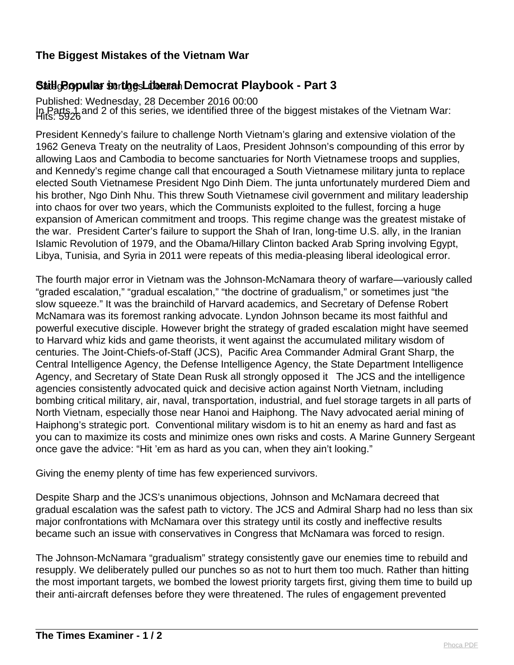## **The Biggest Mistakes of the Vietnam War**

## Still **Bopular Scrtigs Liberal Democrat Playbook - Part 3**

Published: Wednesday, 28 December 2016 00:00 In Parts 1 and 2 of this series, we identified three of the biggest mistakes of the Vietnam War:<br>Hits: 5926

President Kennedy's failure to challenge North Vietnam's glaring and extensive violation of the 1962 Geneva Treaty on the neutrality of Laos, President Johnson's compounding of this error by allowing Laos and Cambodia to become sanctuaries for North Vietnamese troops and supplies, and Kennedy's regime change call that encouraged a South Vietnamese military junta to replace elected South Vietnamese President Ngo Dinh Diem. The junta unfortunately murdered Diem and his brother, Ngo Dinh Nhu. This threw South Vietnamese civil government and military leadership into chaos for over two years, which the Communists exploited to the fullest, forcing a huge expansion of American commitment and troops. This regime change was the greatest mistake of the war. President Carter's failure to support the Shah of Iran, long-time U.S. ally, in the Iranian Islamic Revolution of 1979, and the Obama/Hillary Clinton backed Arab Spring involving Egypt, Libya, Tunisia, and Syria in 2011 were repeats of this media-pleasing liberal ideological error.

The fourth major error in Vietnam was the Johnson-McNamara theory of warfare—variously called "graded escalation," "gradual escalation," "the doctrine of gradualism," or sometimes just "the slow squeeze." It was the brainchild of Harvard academics, and Secretary of Defense Robert McNamara was its foremost ranking advocate. Lyndon Johnson became its most faithful and powerful executive disciple. However bright the strategy of graded escalation might have seemed to Harvard whiz kids and game theorists, it went against the accumulated military wisdom of centuries. The Joint-Chiefs-of-Staff (JCS), Pacific Area Commander Admiral Grant Sharp, the Central Intelligence Agency, the Defense Intelligence Agency, the State Department Intelligence Agency, and Secretary of State Dean Rusk all strongly opposed it The JCS and the intelligence agencies consistently advocated quick and decisive action against North Vietnam, including bombing critical military, air, naval, transportation, industrial, and fuel storage targets in all parts of North Vietnam, especially those near Hanoi and Haiphong. The Navy advocated aerial mining of Haiphong's strategic port. Conventional military wisdom is to hit an enemy as hard and fast as you can to maximize its costs and minimize ones own risks and costs. A Marine Gunnery Sergeant once gave the advice: "Hit 'em as hard as you can, when they ain't looking."

Giving the enemy plenty of time has few experienced survivors.

Despite Sharp and the JCS's unanimous objections, Johnson and McNamara decreed that gradual escalation was the safest path to victory. The JCS and Admiral Sharp had no less than six major confrontations with McNamara over this strategy until its costly and ineffective results became such an issue with conservatives in Congress that McNamara was forced to resign.

The Johnson-McNamara "gradualism" strategy consistently gave our enemies time to rebuild and resupply. We deliberately pulled our punches so as not to hurt them too much. Rather than hitting the most important targets, we bombed the lowest priority targets first, giving them time to build up their anti-aircraft defenses before they were threatened. The rules of engagement prevented